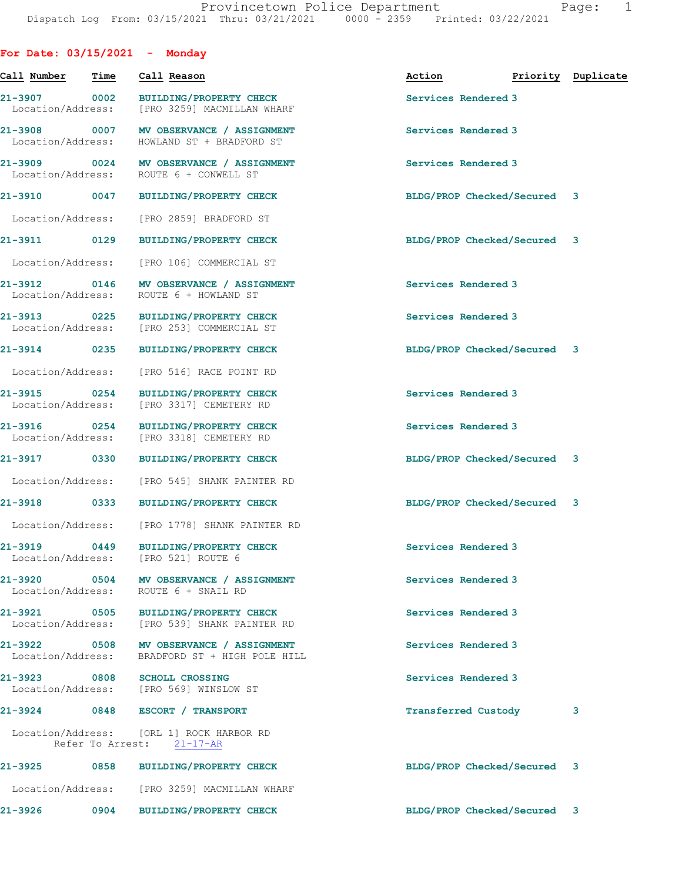| RК<br>◠ |  |
|---------|--|
|         |  |

| For Date: $03/15/2021$ - Monday   |                  |                                                                                      |                             |                    |
|-----------------------------------|------------------|--------------------------------------------------------------------------------------|-----------------------------|--------------------|
| Call Number                       | Time             | Call Reason                                                                          | Action                      | Priority Duplicate |
| 21-3907 0002                      |                  | BUILDING/PROPERTY CHECK<br>Location/Address: [PRO 3259] MACMILLAN WHARF              | Services Rendered 3         |                    |
| Location/Address:                 |                  | 21-3908 0007 MV OBSERVANCE / ASSIGNMENT<br>HOWLAND ST + BRADFORD ST                  | Services Rendered 3         |                    |
|                                   |                  | 21-3909 0024 MV OBSERVANCE / ASSIGNMENT<br>Location/Address: ROUTE 6 + CONWELL ST    | Services Rendered 3         |                    |
|                                   |                  | 21-3910 0047 BUILDING/PROPERTY CHECK                                                 | BLDG/PROP Checked/Secured 3 |                    |
| Location/Address:                 |                  | [PRO 2859] BRADFORD ST                                                               |                             |                    |
| 21-3911 0129                      |                  | <b>BUILDING/PROPERTY CHECK</b>                                                       | BLDG/PROP Checked/Secured 3 |                    |
| Location/Address:                 |                  | [PRO 106] COMMERCIAL ST                                                              |                             |                    |
|                                   |                  | 21-3912 0146 MV OBSERVANCE / ASSIGNMENT<br>Location/Address: ROUTE 6 + HOWLAND ST    | Services Rendered 3         |                    |
| 21-3913 0225<br>Location/Address: |                  | <b>BUILDING/PROPERTY CHECK</b><br>[PRO 253] COMMERCIAL ST                            | Services Rendered 3         |                    |
| 21-3914 0235                      |                  | <b>BUILDING/PROPERTY CHECK</b>                                                       | BLDG/PROP Checked/Secured 3 |                    |
| Location/Address:                 |                  | [PRO 516] RACE POINT RD                                                              |                             |                    |
| 21-3915 0254                      |                  | <b>BUILDING/PROPERTY CHECK</b><br>Location/Address: [PRO 3317] CEMETERY RD           | Services Rendered 3         |                    |
| 21-3916 0254<br>Location/Address: |                  | <b>BUILDING/PROPERTY CHECK</b><br>[PRO 3318] CEMETERY RD                             | Services Rendered 3         |                    |
| 21-3917 0330                      |                  | BUILDING/PROPERTY CHECK                                                              | BLDG/PROP Checked/Secured 3 |                    |
| Location/Address:                 |                  | [PRO 545] SHANK PAINTER RD                                                           |                             |                    |
| 21-3918                           |                  | 0333 BUILDING/PROPERTY CHECK                                                         | BLDG/PROP Checked/Secured 3 |                    |
|                                   |                  | Location/Address: [PRO 1778] SHANK PAINTER RD                                        |                             |                    |
| $21 - 3919$                       | 0449             | BUILDING/PROPERTY CHECK<br>Location/Address: [PRO 521] ROUTE 6                       | Services Rendered 3         |                    |
|                                   |                  | 21-3920 0504 MV OBSERVANCE / ASSIGNMENT<br>Location/Address: ROUTE 6 + SNAIL RD      | Services Rendered 3         |                    |
|                                   |                  | 21-3921 0505 BUILDING/PROPERTY CHECK<br>Location/Address: [PRO 539] SHANK PAINTER RD | Services Rendered 3         |                    |
| 21-3922 0508<br>Location/Address: |                  | MV OBSERVANCE / ASSIGNMENT<br>BRADFORD ST + HIGH POLE HILL                           | Services Rendered 3         |                    |
| 21-3923 0808                      |                  | <b>SCHOLL CROSSING</b><br>Location/Address: [PRO 569] WINSLOW ST                     | Services Rendered 3         |                    |
|                                   |                  | 21-3924 0848 ESCORT / TRANSPORT                                                      | Transferred Custody         | 3                  |
|                                   | Refer To Arrest: | Location/Address: [ORL 1] ROCK HARBOR RD<br>$21 - 17 - AR$                           |                             |                    |
| 21-3925 0858                      |                  | <b>BUILDING/PROPERTY CHECK</b>                                                       | BLDG/PROP Checked/Secured 3 |                    |
|                                   |                  | Location/Address: [PRO 3259] MACMILLAN WHARF                                         |                             |                    |
| 21-3926                           | 0904             | <b>BUILDING/PROPERTY CHECK</b>                                                       | BLDG/PROP Checked/Secured 3 |                    |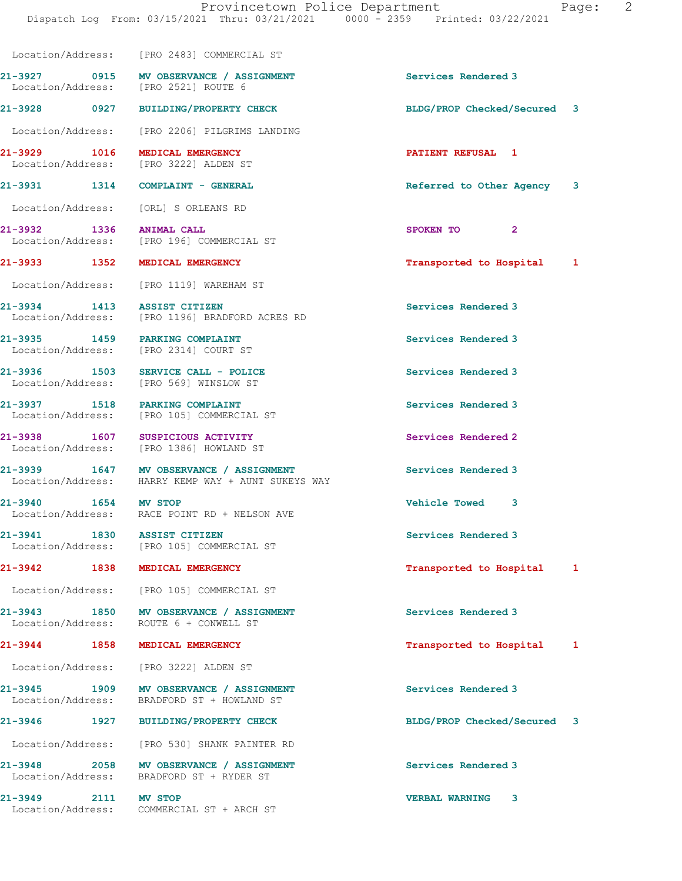| aae |
|-----|
|-----|

 Location/Address: [PRO 2483] COMMERCIAL ST 21-3927 0915 MV OBSERVANCE / ASSIGNMENT Services Rendered 3 Location/Address: [PRO 2521] ROUTE 6 21-3928 0927 BUILDING/PROPERTY CHECK BLDG/PROP Checked/Secured 3 Location/Address: [PRO 2206] PILGRIMS LANDING 21-3929 1016 MEDICAL EMERGENCY **PATIENT REFUSAL 1**<br>
Location/Address: [PRO 3222] ALDEN ST [PRO 3222] ALDEN ST 21-3931 1314 COMPLAINT - GENERAL 121-3931 Referred to Other Agency 3 Location/Address: [ORL] S ORLEANS RD 21-3932 1336 ANIMAL CALL 21-3932 1336 2<br>
Location/Address: [PRO 196] COMMERCIAL ST Location/Address: [PRO 196] COMMERCIAL ST 21-3933 1352 MEDICAL EMERGENCY 1 21 Transported to Hospital 1 Location/Address: [PRO 1119] WAREHAM ST 21-3934 1413 ASSIST CITIZEN<br>
Location/Address: [PRO 1196] BRADFORD ACRES RD<br>
Services Rendered 3 [PRO 1196] BRADFORD ACRES RD 21-3935 1459 PARKING COMPLAINT Services Rendered 3 Location/Address: [PRO 2314] COURT ST 21-3936 1503 SERVICE CALL - POLICE 1503 Services Rendered 3 Location/Address: [PRO 569] WINSLOW ST 21-3937 1518 PARKING COMPLAINT Services Rendered 3 Location/Address: [PRO 105] COMMERCIAL ST 21-3938 1607 SUSPICIOUS ACTIVITY Services Rendered 2 Location/Address: [PRO 1386] HOWLAND ST 21-3939 1647 MV OBSERVANCE / ASSIGNMENT STRAIN Services Rendered 3<br>
Location/Address: HARRY KEMP WAY + AUNT SUKEYS WAY HARRY KEMP WAY + AUNT SUKEYS WAY 21-3940 1654 MV STOP Vehicle Towed 3 Location/Address: RACE POINT RD + NELSON AVE 21-3941 1830 ASSIST CITIZEN Services Rendered 3 Location/Address: [PRO 105] COMMERCIAL ST 21-3942 1838 MEDICAL EMERGENCY **1838 1899 120 1** Transported to Hospital 1 Location/Address: [PRO 105] COMMERCIAL ST 21-3943 1850 MV OBSERVANCE / ASSIGNMENT Services Rendered 3 Location/Address: ROUTE 6 + CONWELL ST 21-3944 1858 MEDICAL EMERGENCY Transported to Hospital 1 Location/Address: [PRO 3222] ALDEN ST 21-3945 1909 MV OBSERVANCE / ASSIGNMENT Services Rendered 3 Location/Address: BRADFORD ST + HOWLAND ST 21-3946 1927 BUILDING/PROPERTY CHECK BLDG/PROP Checked/Secured 3 Location/Address: [PRO 530] SHANK PAINTER RD 21-3948 2058 MV OBSERVANCE / ASSIGNMENT Services Rendered 3 Location/Address: BRADFORD ST + RYDER ST 21-3949 2111 MV STOP VERBAL WARNING 3 Location/Address: COMMERCIAL ST + ARCH ST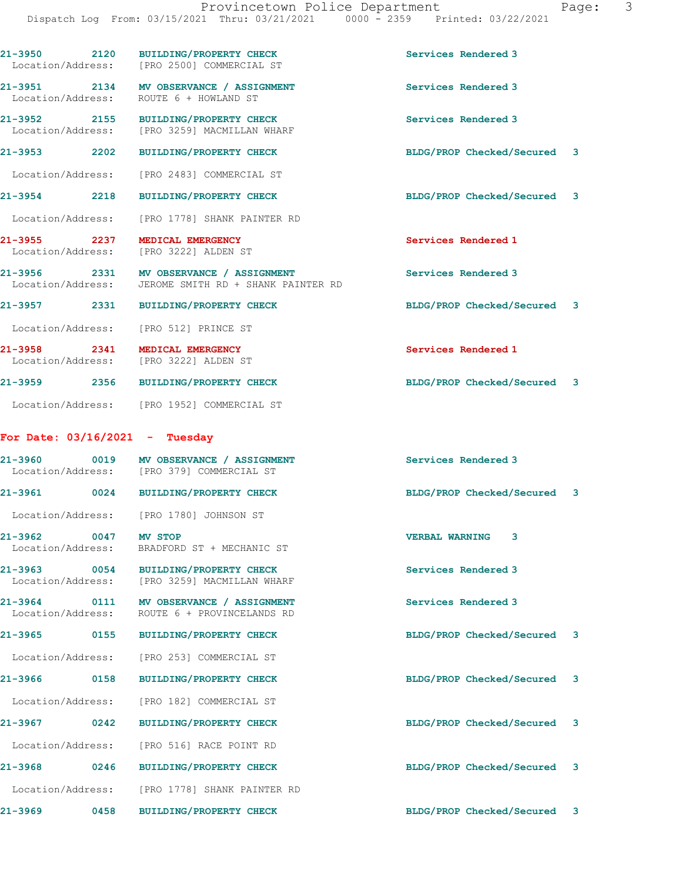| 21-3950 2120                                 | <b>BUILDING/PROPERTY CHECK</b><br>Location/Address: [PRO 2500] COMMERCIAL ST                    | Services Rendered 3            |  |
|----------------------------------------------|-------------------------------------------------------------------------------------------------|--------------------------------|--|
|                                              | 21-3951 2134 MV OBSERVANCE / ASSIGNMENT<br>Location/Address: ROUTE 6 + HOWLAND ST               | Services Rendered 3            |  |
| 21-3952 2155                                 | BUILDING/PROPERTY CHECK<br>Location/Address: [PRO 3259] MACMILLAN WHARF                         | Services Rendered 3            |  |
|                                              | 21-3953 2202 BUILDING/PROPERTY CHECK                                                            | BLDG/PROP Checked/Secured 3    |  |
|                                              | Location/Address: [PRO 2483] COMMERCIAL ST                                                      |                                |  |
| 21-3954 2218                                 | BUILDING/PROPERTY CHECK                                                                         | BLDG/PROP Checked/Secured 3    |  |
|                                              | Location/Address: [PRO 1778] SHANK PAINTER RD                                                   |                                |  |
| 21-3955 2237                                 | MEDICAL EMERGENCY<br>Location/Address: [PRO 3222] ALDEN ST                                      | Services Rendered 1            |  |
|                                              | 21-3956 2331 MV OBSERVANCE / ASSIGNMENT<br>Location/Address: JEROME SMITH RD + SHANK PAINTER RD | Services Rendered 3            |  |
|                                              | 21-3957 2331 BUILDING/PROPERTY CHECK                                                            | BLDG/PROP Checked/Secured 3    |  |
|                                              | Location/Address: [PRO 512] PRINCE ST                                                           |                                |  |
| 21-3958 2341                                 | MEDICAL EMERGENCY<br>Location/Address: [PRO 3222] ALDEN ST                                      | Services Rendered 1            |  |
|                                              | 21-3959 2356 BUILDING/PROPERTY CHECK                                                            | BLDG/PROP Checked/Secured 3    |  |
|                                              | Location/Address: [PRO 1952] COMMERCIAL ST                                                      |                                |  |
| For Date: $03/16/2021$ - Tuesday             |                                                                                                 |                                |  |
|                                              | 21-3960 0019 MV OBSERVANCE / ASSIGNMENT<br>Location/Address: [PRO 379] COMMERCIAL ST            | Services Rendered 3            |  |
|                                              | 21-3961 0024 BUILDING/PROPERTY CHECK                                                            | BLDG/PROP Checked/Secured 3    |  |
|                                              | Location/Address: [PRO 1780] JOHNSON ST                                                         |                                |  |
| 21-3962<br>0047 MV STOP<br>Location/Address: | BRADFORD ST + MECHANIC ST                                                                       | <b>VERBAL WARNING 3</b>        |  |
| 21-3963<br>0054<br>Location/Address:         | <b>BUILDING/PROPERTY CHECK</b><br>[PRO 3259] MACMILLAN WHARF                                    | Services Rendered 3            |  |
| 21-3964<br>Location/Address:                 | 0111 MV OBSERVANCE / ASSIGNMENT<br>ROUTE 6 + PROVINCELANDS RD                                   | Services Rendered 3            |  |
| $21 - 3965$<br>0155                          | <b>BUILDING/PROPERTY CHECK</b>                                                                  | BLDG/PROP Checked/Secured 3    |  |
| Location/Address:                            | [PRO 253] COMMERCIAL ST                                                                         |                                |  |
| 21-3966<br>0158                              | BUILDING/PROPERTY CHECK                                                                         | BLDG/PROP Checked/Secured 3    |  |
|                                              | Location/Address: [PRO 182] COMMERCIAL ST                                                       |                                |  |
| 21-3967<br>0242                              | BUILDING/PROPERTY CHECK                                                                         | BLDG/PROP Checked/Secured<br>3 |  |
|                                              | Location/Address: [PRO 516] RACE POINT RD                                                       |                                |  |
| $21 - 3968$<br>0246                          | BUILDING/PROPERTY CHECK                                                                         | BLDG/PROP Checked/Secured<br>3 |  |
| Location/Address:                            | [PRO 1778] SHANK PAINTER RD                                                                     |                                |  |
| $21 - 3969$<br>0458                          | <b>BUILDING/PROPERTY CHECK</b>                                                                  | BLDG/PROP Checked/Secured<br>3 |  |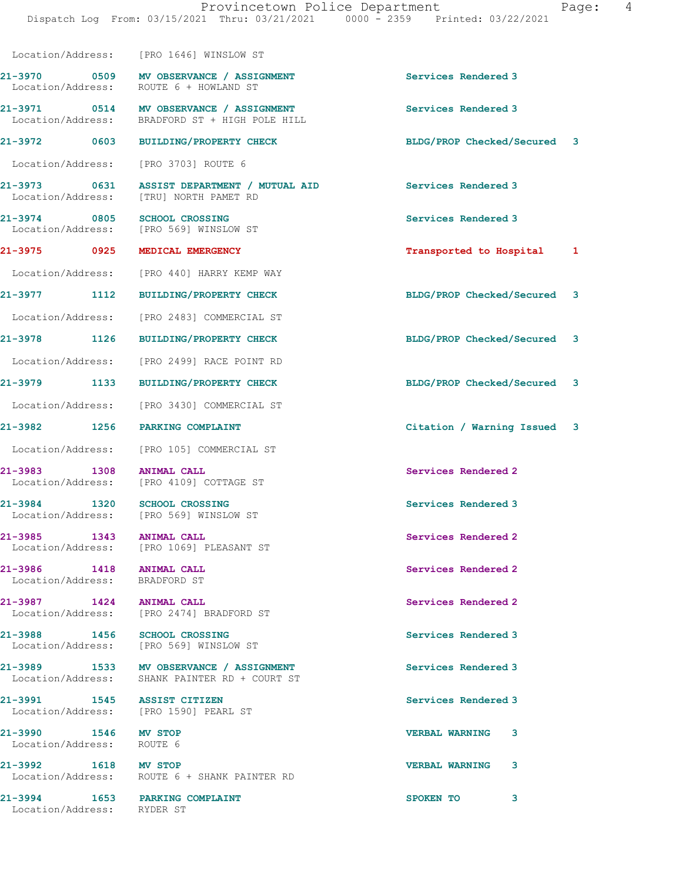|                                                              | Location/Address: [PRO 1646] WINSLOW ST                                                   |                             |
|--------------------------------------------------------------|-------------------------------------------------------------------------------------------|-----------------------------|
|                                                              | 21-3970 0509 MV OBSERVANCE / ASSIGNMENT<br>Location/Address: ROUTE 6 + HOWLAND ST         | Services Rendered 3         |
|                                                              | 21-3971 0514 MV OBSERVANCE / ASSIGNMENT<br>Location/Address: BRADFORD ST + HIGH POLE HILL | Services Rendered 3         |
|                                                              | 21-3972 0603 BUILDING/PROPERTY CHECK                                                      | BLDG/PROP Checked/Secured 3 |
|                                                              | Location/Address: [PRO 3703] ROUTE 6                                                      |                             |
| 21-3973 0631                                                 | ASSIST DEPARTMENT / MUTUAL AID<br>Location/Address: [TRU] NORTH PAMET RD                  | Services Rendered 3         |
| 21-3974 0805 SCHOOL CROSSING                                 | Location/Address: [PRO 569] WINSLOW ST                                                    | Services Rendered 3         |
| 21-3975 0925                                                 | MEDICAL EMERGENCY                                                                         | Transported to Hospital 1   |
|                                                              | Location/Address: [PRO 440] HARRY KEMP WAY                                                |                             |
|                                                              | 21-3977 1112 BUILDING/PROPERTY CHECK                                                      | BLDG/PROP Checked/Secured 3 |
|                                                              | Location/Address: [PRO 2483] COMMERCIAL ST                                                |                             |
|                                                              | 21-3978 1126 BUILDING/PROPERTY CHECK                                                      | BLDG/PROP Checked/Secured 3 |
|                                                              | Location/Address: [PRO 2499] RACE POINT RD                                                |                             |
|                                                              | 21-3979 1133 BUILDING/PROPERTY CHECK                                                      | BLDG/PROP Checked/Secured 3 |
|                                                              | Location/Address: [PRO 3430] COMMERCIAL ST                                                |                             |
| 21-3982 1256 PARKING COMPLAINT                               |                                                                                           | Citation / Warning Issued 3 |
|                                                              | Location/Address: [PRO 105] COMMERCIAL ST                                                 |                             |
| 1308<br>21-3983                                              | <b>ANIMAL CALL</b><br>Location/Address: [PRO 4109] COTTAGE ST                             | Services Rendered 2         |
| 21-3984 1320 SCHOOL CROSSING                                 | Location/Address: [PRO 569] WINSLOW ST                                                    | Services Rendered 3         |
| 1343<br>21-3985                                              | <b>ANIMAL CALL</b><br>Location/Address: [PRO 1069] PLEASANT ST                            | Services Rendered 2         |
| 21-3986 1418<br>Location/Address: BRADFORD ST                | <b>ANIMAL CALL</b>                                                                        | Services Rendered 2         |
| 21-3987 1424 ANIMAL CALL                                     | Location/Address: [PRO 2474] BRADFORD ST                                                  | Services Rendered 2         |
| 21-3988 1456 SCHOOL CROSSING                                 | Location/Address: [PRO 569] WINSLOW ST                                                    | Services Rendered 3         |
|                                                              | 21-3989 1533 MV OBSERVANCE / ASSIGNMENT<br>Location/Address: SHANK PAINTER RD + COURT ST  | Services Rendered 3         |
| 21-3991 1545 ASSIST CITIZEN                                  | Location/Address: [PRO 1590] PEARL ST                                                     | Services Rendered 3         |
| 21-3990 1546 MV STOP<br>Location/Address: ROUTE 6            |                                                                                           | <b>VERBAL WARNING 3</b>     |
| 21-3992 1618 MV STOP                                         | Location/Address: ROUTE 6 + SHANK PAINTER RD                                              | <b>VERBAL WARNING</b><br>3  |
| 21-3994 1653 PARKING COMPLAINT<br>Location/Address: RYDER ST |                                                                                           | SPOKEN TO<br>3              |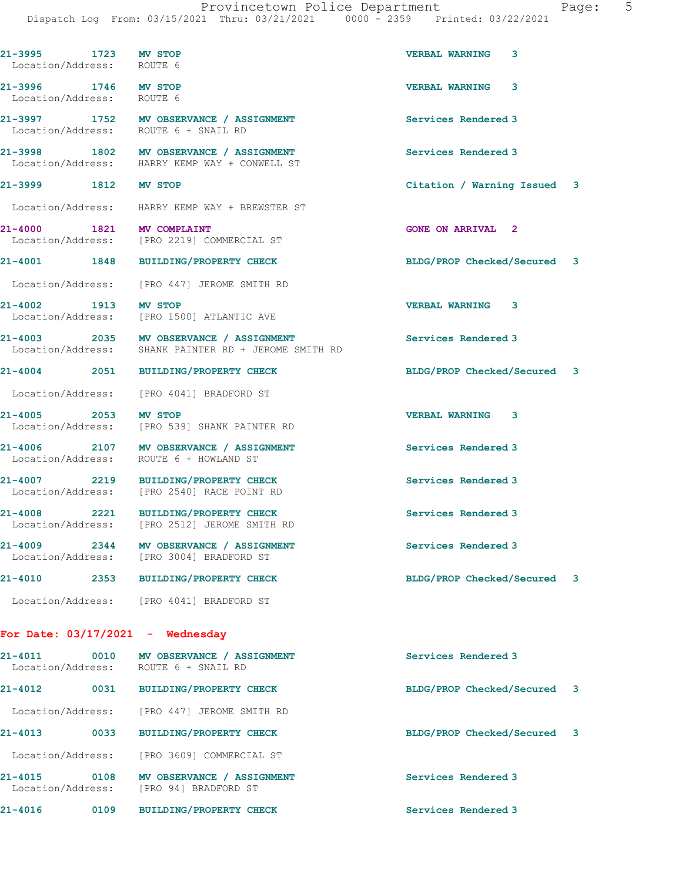| aae: |  |
|------|--|
|------|--|

| 21-3995 1723 MV STOP<br>Location/Address: ROUTE 6 |                                                                                                 | <b>VERBAL WARNING 3</b>        |
|---------------------------------------------------|-------------------------------------------------------------------------------------------------|--------------------------------|
| 21-3996 1746 MV STOP<br>Location/Address: ROUTE 6 |                                                                                                 | <b>VERBAL WARNING 3</b>        |
|                                                   | 21-3997 1752 MV OBSERVANCE / ASSIGNMENT<br>Location/Address: ROUTE 6 + SNAIL RD                 | Services Rendered 3            |
|                                                   | 21-3998 1802 MV OBSERVANCE / ASSIGNMENT<br>Location/Address: HARRY KEMP WAY + CONWELL ST        | Services Rendered 3            |
| 21-3999 1812 MV STOP                              |                                                                                                 | Citation / Warning Issued 3    |
|                                                   | Location/Address: HARRY KEMP WAY + BREWSTER ST                                                  |                                |
| 21-4000 1821 MV COMPLAINT                         | Location/Address: [PRO 2219] COMMERCIAL ST                                                      | <b>GONE ON ARRIVAL 2</b>       |
| 21-4001 1848                                      | BUILDING/PROPERTY CHECK                                                                         | BLDG/PROP Checked/Secured 3    |
|                                                   | Location/Address: [PRO 447] JEROME SMITH RD                                                     |                                |
| 21-4002 1913                                      | <b>MV STOP</b><br>Location/Address: [PRO 1500] ATLANTIC AVE                                     | <b>VERBAL WARNING 3</b>        |
|                                                   | 21-4003 2035 MV OBSERVANCE / ASSIGNMENT<br>Location/Address: SHANK PAINTER RD + JEROME SMITH RD | Services Rendered 3            |
|                                                   | 21-4004 2051 BUILDING/PROPERTY CHECK                                                            | BLDG/PROP Checked/Secured 3    |
|                                                   | Location/Address: [PRO 4041] BRADFORD ST                                                        |                                |
| 21-4005 2053                                      | <b>MV STOP</b><br>Location/Address: [PRO 539] SHANK PAINTER RD                                  | <b>VERBAL WARNING 3</b>        |
|                                                   | 21-4006 2107 MV OBSERVANCE / ASSIGNMENT<br>Location/Address: ROUTE 6 + HOWLAND ST               | Services Rendered 3            |
|                                                   | 21-4007 2219 BUILDING/PROPERTY CHECK<br>Location/Address: [PRO 2540] RACE POINT RD              | Services Rendered 3            |
|                                                   | 21-4008 2221 BUILDING/PROPERTY CHECK<br>Location/Address: [PRO 2512] JEROME SMITH RD            | Services Rendered 3            |
| $21 - 4009$<br>2344<br>Location/Address:          | MV OBSERVANCE / ASSIGNMENT<br>[PRO 3004] BRADFORD ST                                            | Services Rendered 3            |
| 21-4010<br>2353                                   | <b>BUILDING/PROPERTY CHECK</b>                                                                  | BLDG/PROP Checked/Secured<br>3 |
|                                                   | Location/Address: [PRO 4041] BRADFORD ST                                                        |                                |
| For Date: $03/17/2021$ - Wednesday                |                                                                                                 |                                |
| $21 - 4011$<br>0010                               | MV OBSERVANCE / ASSIGNMENT<br>Location/Address: ROUTE 6 + SNAIL RD                              | Services Rendered 3            |
| 21-4012<br>0031                                   | <b>BUILDING/PROPERTY CHECK</b>                                                                  | BLDG/PROP Checked/Secured 3    |
| Location/Address:                                 | [PRO 447] JEROME SMITH RD                                                                       |                                |
| 21-4013<br>0033                                   | <b>BUILDING/PROPERTY CHECK</b>                                                                  | BLDG/PROP Checked/Secured<br>3 |
| Location/Address:                                 | [PRO 3609] COMMERCIAL ST                                                                        |                                |
| $21 - 4015$<br>0108<br>Location/Address:          | MV OBSERVANCE / ASSIGNMENT<br>[PRO 94] BRADFORD ST                                              | Services Rendered 3            |

21-4016 0109 BUILDING/PROPERTY CHECK Services Rendered 3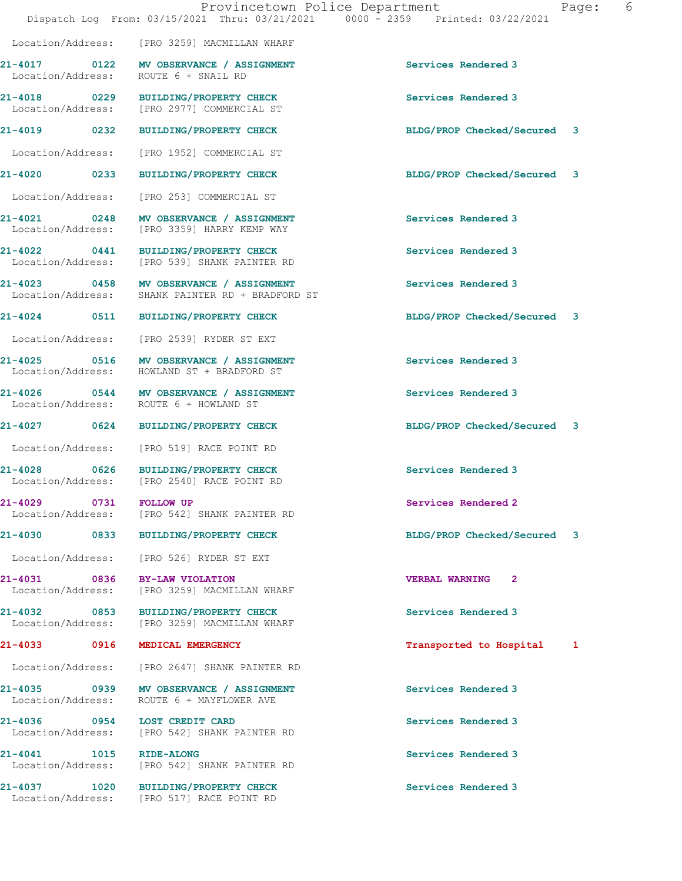|                         |      | Provincetown Police Department<br>Dispatch Log From: 03/15/2021 Thru: 03/21/2021 0000 - 2359 Printed: 03/22/2021 |                             | Page: | 6 |
|-------------------------|------|------------------------------------------------------------------------------------------------------------------|-----------------------------|-------|---|
|                         |      | Location/Address: [PRO 3259] MACMILLAN WHARF                                                                     |                             |       |   |
|                         |      | 21-4017 0122 MV OBSERVANCE / ASSIGNMENT<br>Location/Address: ROUTE 6 + SNAIL RD                                  | Services Rendered 3         |       |   |
|                         |      | 21-4018 0229 BUILDING/PROPERTY CHECK<br>Location/Address: [PRO 2977] COMMERCIAL ST                               | Services Rendered 3         |       |   |
|                         |      | 21-4019 0232 BUILDING/PROPERTY CHECK                                                                             | BLDG/PROP Checked/Secured 3 |       |   |
|                         |      | Location/Address: [PRO 1952] COMMERCIAL ST                                                                       |                             |       |   |
|                         |      | 21-4020 0233 BUILDING/PROPERTY CHECK                                                                             | BLDG/PROP Checked/Secured 3 |       |   |
|                         |      | Location/Address: [PRO 253] COMMERCIAL ST                                                                        |                             |       |   |
| Location/Address:       |      | 21-4021 0248 MV OBSERVANCE / ASSIGNMENT<br>[PRO 3359] HARRY KEMP WAY                                             | Services Rendered 3         |       |   |
|                         |      | 21-4022 0441 BUILDING/PROPERTY CHECK<br>Location/Address: [PRO 539] SHANK PAINTER RD                             | Services Rendered 3         |       |   |
| Location/Address:       |      | 21-4023 0458 MV OBSERVANCE / ASSIGNMENT<br>SHANK PAINTER RD + BRADFORD ST                                        | Services Rendered 3         |       |   |
|                         |      | 21-4024 0511 BUILDING/PROPERTY CHECK                                                                             | BLDG/PROP Checked/Secured 3 |       |   |
|                         |      | Location/Address: [PRO 2539] RYDER ST EXT                                                                        |                             |       |   |
|                         |      | 21-4025 0516 MV OBSERVANCE / ASSIGNMENT<br>Location/Address: HOWLAND ST + BRADFORD ST                            | Services Rendered 3         |       |   |
| Location/Address:       |      | 21-4026 0544 MV OBSERVANCE / ASSIGNMENT<br>ROUTE 6 + HOWLAND ST                                                  | Services Rendered 3         |       |   |
|                         |      | 21-4027 0624 BUILDING/PROPERTY CHECK                                                                             | BLDG/PROP Checked/Secured 3 |       |   |
|                         |      | Location/Address: [PRO 519] RACE POINT RD                                                                        |                             |       |   |
|                         |      | 21-4028 0626 BUILDING/PROPERTY CHECK<br>Location/Address: [PRO 2540] RACE POINT RD                               | Services Rendered 3         |       |   |
| 21-4029 0731 FOLLOW UP  |      | Location/Address: [PRO 542] SHANK PAINTER RD                                                                     | Services Rendered 2         |       |   |
|                         |      | 21-4030 0833 BUILDING/PROPERTY CHECK                                                                             | BLDG/PROP Checked/Secured 3 |       |   |
|                         |      | Location/Address: [PRO 526] RYDER ST EXT                                                                         |                             |       |   |
|                         |      | 21-4031 0836 BY-LAW VIOLATION<br>Location/Address: [PRO 3259] MACMILLAN WHARF                                    | <b>VERBAL WARNING 2</b>     |       |   |
|                         |      | 21-4032 0853 BUILDING/PROPERTY CHECK<br>Location/Address: [PRO 3259] MACMILLAN WHARF                             | Services Rendered 3         |       |   |
|                         |      | 21-4033 0916 MEDICAL EMERGENCY                                                                                   | Transported to Hospital 1   |       |   |
|                         |      | Location/Address: [PRO 2647] SHANK PAINTER RD                                                                    |                             |       |   |
|                         |      | 21-4035 0939 MV OBSERVANCE / ASSIGNMENT<br>Location/Address: ROUTE 6 + MAYFLOWER AVE                             | Services Rendered 3         |       |   |
|                         |      | 21-4036 0954 LOST CREDIT CARD<br>Location/Address: [PRO 542] SHANK PAINTER RD                                    | Services Rendered 3         |       |   |
| 21-4041 1015 RIDE-ALONG |      | Location/Address: [PRO 542] SHANK PAINTER RD                                                                     | Services Rendered 3         |       |   |
| 21-4037                 | 1020 | <b>BUILDING/PROPERTY CHECK</b>                                                                                   | Services Rendered 3         |       |   |

Location/Address: [PRO 517] RACE POINT RD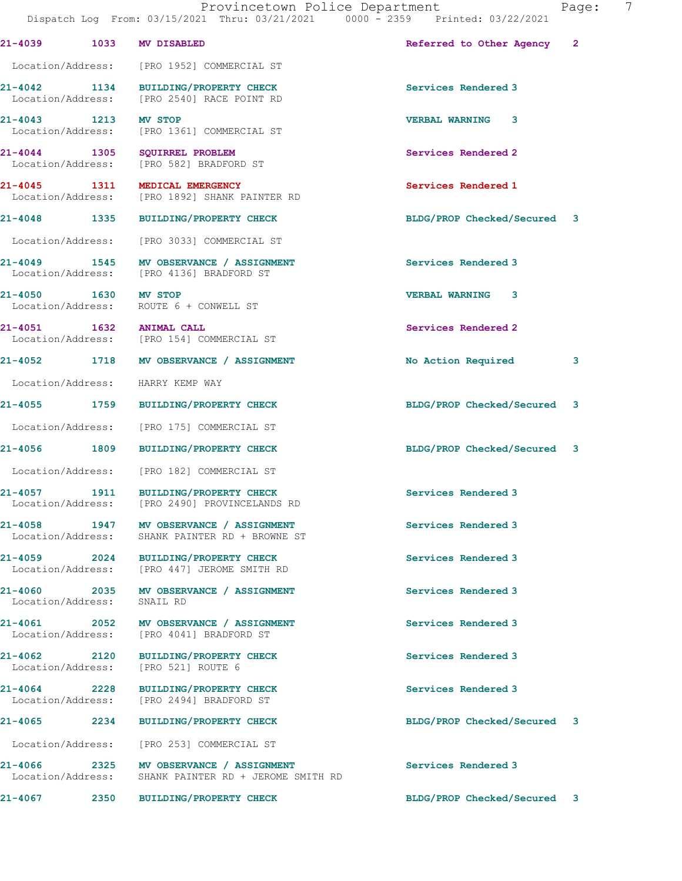| 21-4039                           | 1033                      | MV DISABLED                                                                         | Referred to Other Agency 2  |   |
|-----------------------------------|---------------------------|-------------------------------------------------------------------------------------|-----------------------------|---|
| Location/Address:                 |                           | [PRO 1952] COMMERCIAL ST                                                            |                             |   |
| 21-4042 1134                      |                           | BUILDING/PROPERTY CHECK<br>Location/Address: [PRO 2540] RACE POINT RD               | Services Rendered 3         |   |
| 21-4043 1213<br>Location/Address: |                           | <b>MV STOP</b><br>[PRO 1361] COMMERCIAL ST                                          | VERBAL WARNING 3            |   |
| 21-4044 1305                      |                           | SOUIRREL PROBLEM<br>Location/Address: [PRO 582] BRADFORD ST                         | Services Rendered 2         |   |
| 21-4045 1311                      |                           | MEDICAL EMERGENCY<br>Location/Address: [PRO 1892] SHANK PAINTER RD                  | Services Rendered 1         |   |
| 21-4048 1335                      |                           | <b>BUILDING/PROPERTY CHECK</b>                                                      | BLDG/PROP Checked/Secured 3 |   |
|                                   |                           | Location/Address: [PRO 3033] COMMERCIAL ST                                          |                             |   |
|                                   |                           | 21-4049 1545 MV OBSERVANCE / ASSIGNMENT<br>Location/Address: [PRO 4136] BRADFORD ST | Services Rendered 3         |   |
| 21-4050 1630 MV STOP              |                           | Location/Address: ROUTE 6 + CONWELL ST                                              | <b>VERBAL WARNING 3</b>     |   |
|                                   |                           | 21-4051 1632 ANIMAL CALL<br>Location/Address: [PRO 154] COMMERCIAL ST               | Services Rendered 2         |   |
|                                   |                           | 21-4052 1718 MV OBSERVANCE / ASSIGNMENT                                             | No Action Required          | 3 |
|                                   |                           | Location/Address: HARRY KEMP WAY                                                    |                             |   |
| 21-4055 1759                      |                           | <b>BUILDING/PROPERTY CHECK</b>                                                      | BLDG/PROP Checked/Secured 3 |   |
| Location/Address:                 |                           | [PRO 175] COMMERCIAL ST                                                             |                             |   |
| 21-4056 1809                      |                           | <b>BUILDING/PROPERTY CHECK</b>                                                      | BLDG/PROP Checked/Secured 3 |   |
| Location/Address:                 |                           | [PRO 182] COMMERCIAL ST                                                             |                             |   |
| 21-4057 1911                      |                           | <b>BUILDING/PROPERTY CHECK</b><br>Location/Address: [PRO 2490] PROVINCELANDS RD     | Services Rendered 3         |   |
| 21-4058                           | 1947<br>Location/Address: | MV OBSERVANCE / ASSIGNMENT<br>SHANK PAINTER RD + BROWNE ST                          | Services Rendered 3         |   |
| $21 - 4059$                       | 2024                      | <b>BUILDING/PROPERTY CHECK</b><br>Location/Address: [PRO 447] JEROME SMITH RD       | Services Rendered 3         |   |
| 21-4060 2035<br>Location/Address: |                           | MV OBSERVANCE / ASSIGNMENT<br>SNAIL RD                                              | Services Rendered 3         |   |
| 21-4061 2052<br>Location/Address: |                           | MV OBSERVANCE / ASSIGNMENT<br>[PRO 4041] BRADFORD ST                                | Services Rendered 3         |   |
| 21-4062 2120<br>Location/Address: |                           | <b>BUILDING/PROPERTY CHECK</b><br>[PRO 521] ROUTE 6                                 | Services Rendered 3         |   |
| 21-4064<br>Location/Address:      | 2228                      | <b>BUILDING/PROPERTY CHECK</b><br>[PRO 2494] BRADFORD ST                            | Services Rendered 3         |   |
| 21-4065                           | 2234                      | <b>BUILDING/PROPERTY CHECK</b>                                                      | BLDG/PROP Checked/Secured   | 3 |
| Location/Address:                 |                           | [PRO 253] COMMERCIAL ST                                                             |                             |   |
| $21 - 4066$<br>Location/Address:  | 2325                      | MV OBSERVANCE / ASSIGNMENT<br>SHANK PAINTER RD + JEROME SMITH RD                    | Services Rendered 3         |   |
| 21-4067                           | 2350                      | <b>BUILDING/PROPERTY CHECK</b>                                                      | BLDG/PROP Checked/Secured 3 |   |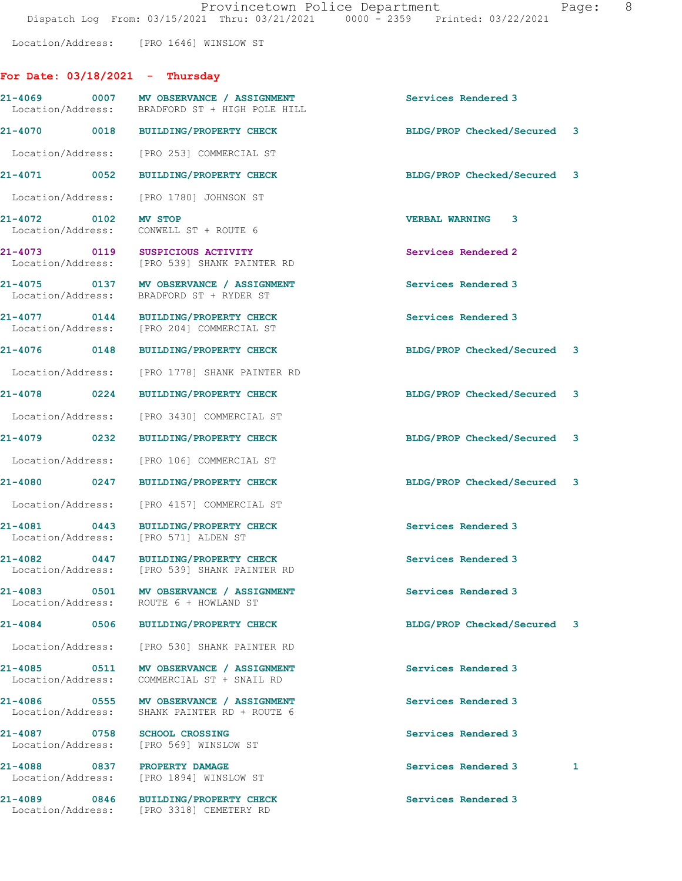Location/Address: [PRO 1646] WINSLOW ST

## $For$  Date:  $03/18/2021 - This$

| rui bace, vj/iv/zvzi linuisuav          |                                                                                           |                             |
|-----------------------------------------|-------------------------------------------------------------------------------------------|-----------------------------|
|                                         | 21-4069 0007 MV OBSERVANCE / ASSIGNMENT<br>Location/Address: BRADFORD ST + HIGH POLE HILL | Services Rendered 3         |
|                                         | 21-4070 0018 BUILDING/PROPERTY CHECK                                                      | BLDG/PROP Checked/Secured 3 |
|                                         | Location/Address: [PRO 253] COMMERCIAL ST                                                 |                             |
| 21-4071 0052                            | <b>BUILDING/PROPERTY CHECK</b>                                                            | BLDG/PROP Checked/Secured 3 |
| Location/Address: [PRO 1780] JOHNSON ST |                                                                                           |                             |
| 21-4072 0102<br>Location/Address:       | <b>MV STOP</b><br>CONWELL ST + ROUTE 6                                                    | 3<br><b>VERBAL WARNING</b>  |
| 21-4073 0119 SUSPICIOUS ACTIVITY        | Location/Address: [PRO 539] SHANK PAINTER RD                                              | Services Rendered 2         |
| Location/Address:                       | 21-4075 0137 MV OBSERVANCE / ASSIGNMENT<br>BRADFORD ST + RYDER ST                         | Services Rendered 3         |
|                                         | 21-4077 0144 BUILDING/PROPERTY CHECK<br>Location/Address: [PRO 204] COMMERCIAL ST         | Services Rendered 3         |
| 21-4076 0148                            | <b>BUILDING/PROPERTY CHECK</b>                                                            | BLDG/PROP Checked/Secured 3 |
|                                         | Location/Address: [PRO 1778] SHANK PAINTER RD                                             |                             |

Location/Address: [PRO 3430] COMMERCIAL ST

Location/Address: [PRO 106] COMMERCIAL ST

Location/Address: [PRO 4157] COMMERCIAL ST

21-4081 0443 BUILDING/PROPERTY CHECK Services Rendered 3 Location/Address: [PRO 571] ALDEN ST

21-4082 0447 BUILDING/PROPERTY CHECK Services Rendered 3 Location/Address: [PRO 539] SHANK PAINTER RD

21-4083 0501 MV OBSERVANCE / ASSIGNMENT Services Rendered 3 Location/Address: ROUTE 6 + HOWLAND ST

Location/Address: [PRO 530] SHANK PAINTER RD

21-4085 0511 MV OBSERVANCE / ASSIGNMENT Services Rendered 3 Location/Address: COMMERCIAL ST + SNAIL RD

21-4086 0555 MV OBSERVANCE / ASSIGNMENT Services Rendered 3 Location/Address: SHANK PAINTER RD + ROUTE 6

21-4087 0758 SCHOOL CROSSING Services Rendered 3 Location/Address: [PRO 569] WINSLOW ST

Location/Address: [PRO 1894] WINSLOW ST

21-4089 0846 BUILDING/PROPERTY CHECK Services Rendered 3 Location/Address: [PRO 3318] CEMETERY RD

21-4078 0224 BUILDING/PROPERTY CHECK BLDG/PROP Checked/Secured 3

21-4079 0232 BUILDING/PROPERTY CHECK BLDG/PROP Checked/Secured 3

21-4080 0247 BUILDING/PROPERTY CHECK BLDG/PROP Checked/Secured 3

21-4084 0506 BUILDING/PROPERTY CHECK BLDG/PROP Checked/Secured 3

21-4088 0837 PROPERTY DAMAGE Services Rendered 3 1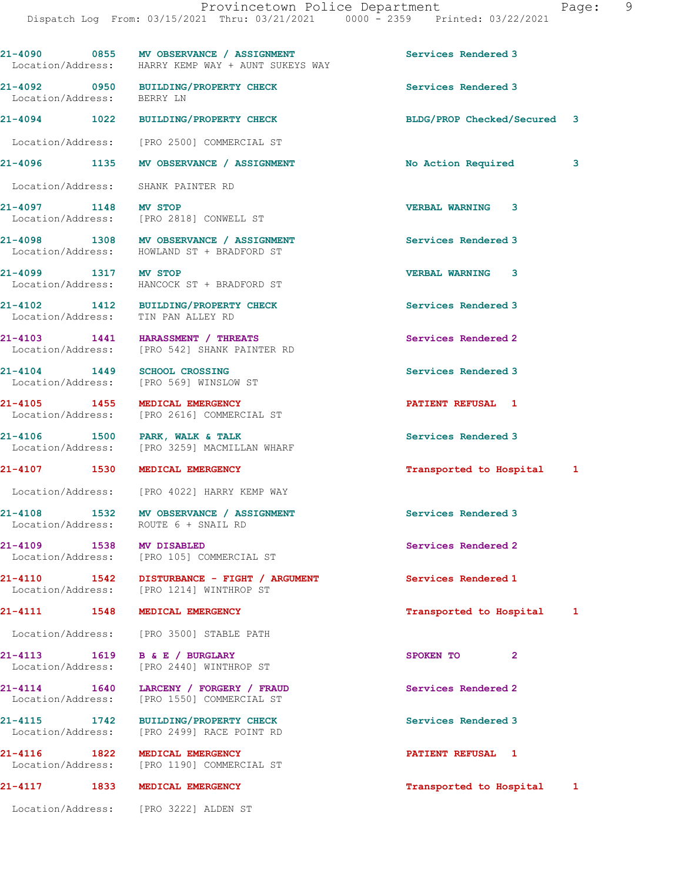21-4090 0855 MV OBSERVANCE / ASSIGNMENT Services Rendered 3 Location/Address: HARRY KEMP WAY + AUNT SUKEYS WAY 21-4092 0950 BUILDING/PROPERTY CHECK Services Rendered 3 Location/Address: 21-4094 1022 BUILDING/PROPERTY CHECK BLDG/PROP Checked/Secured 3 Location/Address: [PRO 2500] COMMERCIAL ST 21-4096 1135 MV OBSERVANCE / ASSIGNMENT No Action Required 3 Location/Address: SHANK PAINTER RD 21-4097 1148 MV STOP VERBAL WARNING 3 Location/Address: [PRO 2818] CONWELL ST 21-4098 1308 MV OBSERVANCE / ASSIGNMENT Services Rendered 3 Location/Address: HOWLAND ST + BRADFORD ST 21-4099 1317 MV STOP VERBAL WARNING 3 Location/Address: HANCOCK ST + BRADFORD ST 21-4102 1412 BUILDING/PROPERTY CHECK Services Rendered 3 Location/Address: TIN PAN ALLEY RD 21-4103 1441 HARASSMENT / THREATS Services Rendered 2 Location/Address: [PRO 542] SHANK PAINTER RD 21-4104 1449 SCHOOL CROSSING Services Rendered 3 Location/Address: [PRO 569] WINSLOW ST 21-4105 1455 MEDICAL EMERGENCY PATIENT REFUSAL 1 [PRO 2616] COMMERCIAL ST 21-4106 1500 PARK, WALK & TALK Services Rendered 3 Location/Address: [PRO 3259] MACMILLAN WHARF 21-4107 1530 MEDICAL EMERGENCY Transported to Hospital 1 Location/Address: [PRO 4022] HARRY KEMP WAY 21-4108 1532 MV OBSERVANCE / ASSIGNMENT Services Rendered 3 Location/Address: ROUTE 6 + SNAIL RD 21-4109 1538 MV DISABLED Services Rendered 2 Location/Address: [PRO 105] COMMERCIAL ST 21-4110 1542 DISTURBANCE - FIGHT / ARGUMENT Services Rendered 1 Location/Address: [PRO 1214] WINTHROP ST 21-4111 1548 MEDICAL EMERGENCY 1999 121-4111 1548 1548 1548 HOSPITAL EMERGENCY Location/Address: [PRO 3500] STABLE PATH 21-4113 1619 B & E / BURGLARY SPOKEN TO 2<br>
Location/Address: [PRO 2440] WINTHROP ST [PRO 2440] WINTHROP ST 21-4114 1640 LARCENY / FORGERY / FRAUD Services Rendered 2 Location/Address: [PRO 1550] COMMERCIAL ST 21-4115 1742 BUILDING/PROPERTY CHECK Services Rendered 3<br>
Location/Address: [PRO 2499] RACE POINT RD [PRO 2499] RACE POINT RD 21-4116 1822 MEDICAL EMERGENCY **122 CONTRACT 1 PATIENT REFUSAL** 1 Location/Address: [PRO 1190] COMMERCIAL ST 21-4117 1833 MEDICAL EMERGENCY Transported to Hospital 1

Location/Address: [PRO 3222] ALDEN ST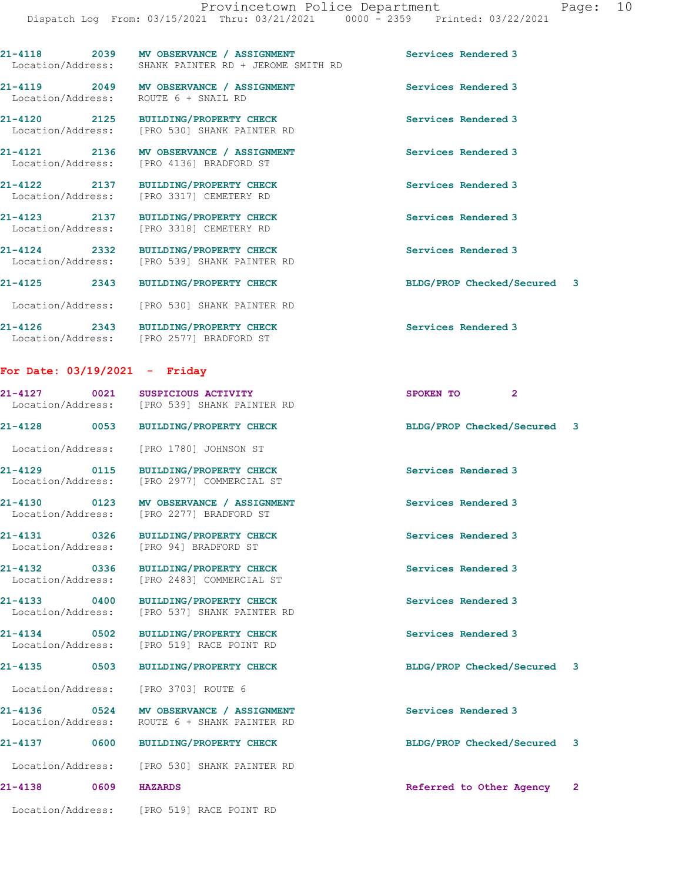|                   | 21-4118 2039 MV OBSERVANCE / ASSIGNMENT<br>Location/Address: SHANK PAINTER RD + JEROME SMITH RD | Services Rendered 3         |
|-------------------|-------------------------------------------------------------------------------------------------|-----------------------------|
| Location/Address: | 21-4119 2049 MV OBSERVANCE / ASSIGNMENT<br>ROUTE 6 + SNAIL RD                                   | Services Rendered 3         |
|                   | 21-4120 2125 BUILDING/PROPERTY CHECK<br>Location/Address: [PRO 530] SHANK PAINTER RD            | Services Rendered 3         |
|                   | 21-4121 2136 MV OBSERVANCE / ASSIGNMENT<br>Location/Address: [PRO 4136] BRADFORD ST             | Services Rendered 3         |
|                   | 21-4122 2137 BUILDING/PROPERTY CHECK<br>Location/Address: [PRO 3317] CEMETERY RD                | Services Rendered 3         |
|                   | 21-4123 2137 BUILDING/PROPERTY CHECK<br>Location/Address: [PRO 3318] CEMETERY RD                | Services Rendered 3         |
|                   | 21-4124 2332 BUILDING/PROPERTY CHECK<br>Location/Address: [PRO 539] SHANK PAINTER RD            | Services Rendered 3         |
| 21-4125 2343      | <b>BUILDING/PROPERTY CHECK</b>                                                                  | BLDG/PROP Checked/Secured 3 |
|                   | Location/Address: [PRO 530] SHANK PAINTER RD                                                    |                             |
|                   | 21-4126 2343 BUILDING/PROPERTY CHECK<br>Location/Address: [PRO 2577] BRADFORD ST                | Services Rendered 3         |

## For Date: 03/19/2021 - Friday

Location/Address: [PRO 519] RACE POINT RD

| 21-4127 0021                      | SUSPICIOUS ACTIVITY<br>Location/Address: [PRO 539] SHANK PAINTER RD                     | $\overline{2}$<br>SPOKEN TO |  |
|-----------------------------------|-----------------------------------------------------------------------------------------|-----------------------------|--|
| 21-4128 0053                      | <b>BUILDING/PROPERTY CHECK</b>                                                          | BLDG/PROP Checked/Secured 3 |  |
| Location/Address:                 | [PRO 1780] JOHNSON ST                                                                   |                             |  |
| 21-4129 0115                      | <b>BUILDING/PROPERTY CHECK</b><br>Location/Address: [PRO 2977] COMMERCIAL ST            | Services Rendered 3         |  |
|                                   | 21-4130 0123 MV OBSERVANCE / ASSIGNMENT<br>Location/Address: [PRO 2277] BRADFORD ST     | Services Rendered 3         |  |
| Location/Address:                 | 21-4131 0326 BUILDING/PROPERTY CHECK<br>[PRO 94] BRADFORD ST                            | Services Rendered 3         |  |
| 21-4132 0336<br>Location/Address: | BUILDING/PROPERTY CHECK<br>[PRO 2483] COMMERCIAL ST                                     | Services Rendered 3         |  |
| 21-4133 0400<br>Location/Address: | <b>BUILDING/PROPERTY CHECK</b><br>[PRO 537] SHANK PAINTER RD                            | Services Rendered 3         |  |
| 21-4134 0502<br>Location/Address: | BUILDING/PROPERTY CHECK<br>[PRO 519] RACE POINT RD                                      | Services Rendered 3         |  |
| 21-4135 0503                      | <b>BUILDING/PROPERTY CHECK</b>                                                          | BLDG/PROP Checked/Secured 3 |  |
|                                   | Location/Address: [PRO 3703] ROUTE 6                                                    |                             |  |
|                                   | 21-4136 0524 MV OBSERVANCE / ASSIGNMENT<br>Location/Address: ROUTE 6 + SHANK PAINTER RD | Services Rendered 3         |  |
|                                   | 21-4137 0600 BUILDING/PROPERTY CHECK                                                    | BLDG/PROP Checked/Secured 3 |  |
|                                   | Location/Address: [PRO 530] SHANK PAINTER RD                                            |                             |  |
| $21 - 4138$<br>0609               | <b>HAZARDS</b>                                                                          | Referred to Other Agency 2  |  |
|                                   |                                                                                         |                             |  |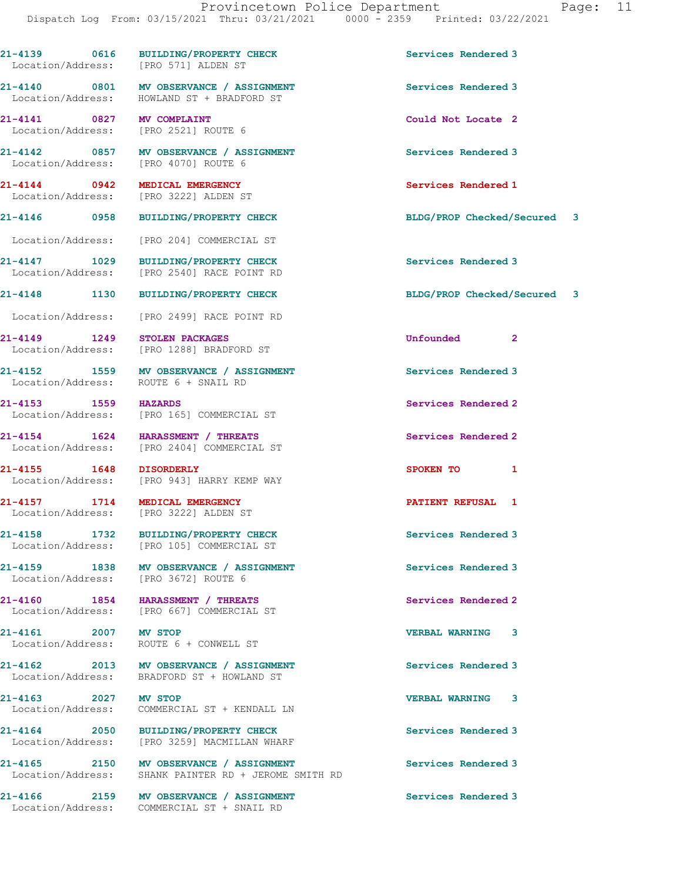Location/Address: HOWLAND ST + BRADFORD ST 21-4141 0827 MV COMPLAINT Could Not Locate 2 Location/Address: [PRO 2521] ROUTE 6 21-4142 0857 MV OBSERVANCE / ASSIGNMENT Services Rendered 3 Location/Address: [PRO 4070] ROUTE 6 21-4144 0942 MEDICAL EMERGENCY Services Rendered 1 Location/Address: [PRO 3222] ALDEN ST 21-4146 0958 BUILDING/PROPERTY CHECK BLDG/PROP Checked/Secured 3 Location/Address: [PRO 204] COMMERCIAL ST

21-4147 1029 BUILDING/PROPERTY CHECK Services Rendered 3 Location/Address: [PRO 2540] RACE POINT RD

Location/Address: [PRO 571] ALDEN ST

Location/Address: [PRO 2499] RACE POINT RD

Location/Address: [PRO 1288] BRADFORD ST

21-4152 1559 MV OBSERVANCE / ASSIGNMENT Services Rendered 3 Location/Address: ROUTE 6 + SNAIL RD

21-4153 1559 HAZARDS<br>
Location/Address: [PRO 165] COMMERCIAL ST [PRO 165] COMMERCIAL ST

21-4154 1624 HARASSMENT / THREATS Services Rendered 2 Location/Address: [PRO 2404] COMMERCIAL ST

21-4155 1648 DISORDERLY SPOKEN TO 1 Location/Address: [PRO 943] HARRY KEMP WAY

21-4158 1732 BUILDING/PROPERTY CHECK Services Rendered 3

Location/Address: [PRO 3672] ROUTE 6

21-4160 1854 HARASSMENT / THREATS<br>
Location/Address: [PRO 667] COMMERCIAL ST [PRO 667] COMMERCIAL ST

Location/Address: BRADFORD ST + HOWLAND ST

Location/Address: COMMERCIAL ST + KENDALL LN

Location/Address: [PRO 3259] MACMILLAN WHARF

21-4165 2150 MV OBSERVANCE / ASSIGNMENT Services Rendered 3<br>
Location/Address: SHANK PAINTER RD + JEROME SMITH RD SHANK PAINTER RD + JEROME SMITH RD

21-4166 2159 MV OBSERVANCE / ASSIGNMENT Services Rendered 3 Location/Address: COMMERCIAL ST + SNAIL RD

21-4139 0616 BUILDING/PROPERTY CHECK Services Rendered 3

21-4140 0801 MV OBSERVANCE / ASSIGNMENT Services Rendered 3

21-4148 1130 BUILDING/PROPERTY CHECK BLDG/PROP Checked/Secured 3

21-4149 1249 STOLEN PACKAGES Unfounded 2

21-4157 1714 MEDICAL EMERGENCY PATIENT REFUSAL 1

21-4161 2007 MV STOP 2007 21-4161

Location/Address: [PRO 3222] ALDEN ST

Location/Address: [PRO 105] COMMERCIAL ST

21-4159 1838 MV OBSERVANCE / ASSIGNMENT Services Rendered 3

Location/Address: ROUTE 6 + CONWELL ST

21-4162 2013 MV OBSERVANCE / ASSIGNMENT Services Rendered 3

21-4163 2027 MV STOP VERBAL WARNING 3

21-4164 2050 BUILDING/PROPERTY CHECK Services Rendered 3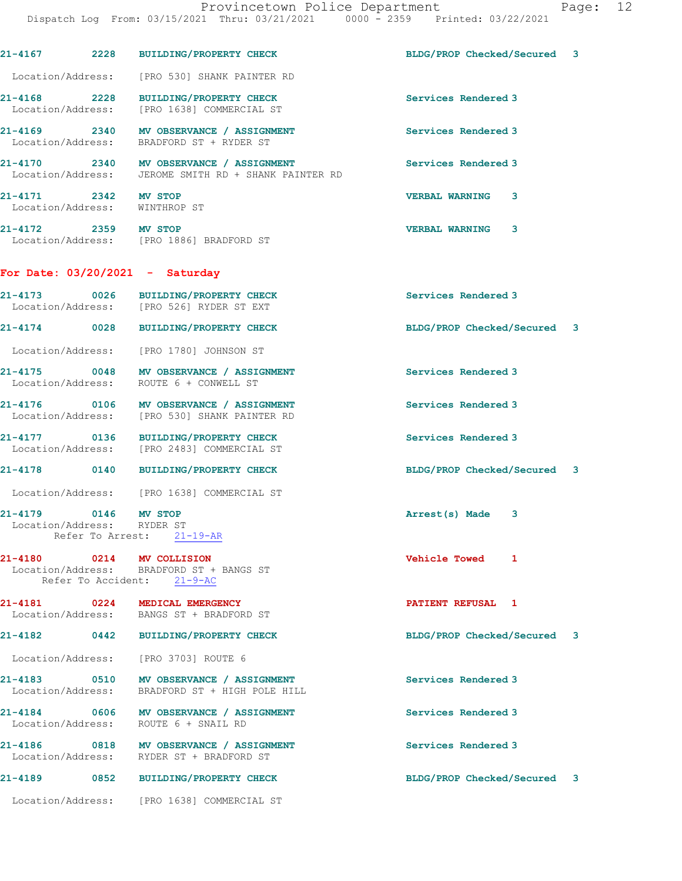|                                                       | 21-4167 2228 BUILDING/PROPERTY CHECK                                                            | BLDG/PROP Checked/Secured 3 |  |
|-------------------------------------------------------|-------------------------------------------------------------------------------------------------|-----------------------------|--|
|                                                       | Location/Address: [PRO 530] SHANK PAINTER RD                                                    |                             |  |
|                                                       | 21-4168 2228 BUILDING/PROPERTY CHECK<br>Location/Address: [PRO 1638] COMMERCIAL ST              | Services Rendered 3         |  |
|                                                       | 21-4169 2340 MV OBSERVANCE / ASSIGNMENT<br>Location/Address: BRADFORD ST + RYDER ST             | Services Rendered 3         |  |
|                                                       | 21-4170 2340 MV OBSERVANCE / ASSIGNMENT<br>Location/Address: JEROME SMITH RD + SHANK PAINTER RD | Services Rendered 3         |  |
| 21-4171 2342 MV STOP<br>Location/Address: WINTHROP ST |                                                                                                 | <b>VERBAL WARNING</b><br>3  |  |
| 21-4172 2359 MV STOP                                  | Location/Address: [PRO 1886] BRADFORD ST                                                        | <b>VERBAL WARNING</b><br>3  |  |
|                                                       | For Date: $03/20/2021 -$ Saturday                                                               |                             |  |
|                                                       | 21-4173 0026 BUILDING/PROPERTY CHECK<br>Location/Address: [PRO 526] RYDER ST EXT                | Services Rendered 3         |  |
|                                                       | 21-4174 0028 BUILDING/PROPERTY CHECK                                                            | BLDG/PROP Checked/Secured 3 |  |
|                                                       | Location/Address: [PRO 1780] JOHNSON ST                                                         |                             |  |
|                                                       | 21-4175 0048 MV OBSERVANCE / ASSIGNMENT<br>Location/Address: ROUTE 6 + CONWELL ST               | Services Rendered 3         |  |
|                                                       | 21-4176 0106 MV OBSERVANCE / ASSIGNMENT<br>Location/Address: [PRO 530] SHANK PAINTER RD         | Services Rendered 3         |  |
|                                                       | 21-4177 0136 BUILDING/PROPERTY CHECK<br>Location/Address: [PRO 2483] COMMERCIAL ST              | Services Rendered 3         |  |
|                                                       | 21-4178 0140 BUILDING/PROPERTY CHECK                                                            | BLDG/PROP Checked/Secured 3 |  |
|                                                       | Location/Address: [PRO 1638] COMMERCIAL ST                                                      |                             |  |
| 21-4179 0146 MV STOP<br>Location/Address: RYDER ST    | Refer To Arrest: 21-19-AR                                                                       | Arrest(s) Made<br>3         |  |
| 21-4180 0214 MV COLLISION                             | Location/Address: BRADFORD ST + BANGS ST<br>Refer To Accident: 21-9-AC                          | Vehicle Towed 1             |  |
|                                                       | 21-4181 0224 MEDICAL EMERGENCY<br>Location/Address: BANGS ST + BRADFORD ST                      | PATIENT REFUSAL 1           |  |
|                                                       | 21-4182 0442 BUILDING/PROPERTY CHECK                                                            | BLDG/PROP Checked/Secured 3 |  |
|                                                       | Location/Address: [PRO 3703] ROUTE 6                                                            |                             |  |
|                                                       | 21-4183 0510 MV OBSERVANCE / ASSIGNMENT<br>Location/Address: BRADFORD ST + HIGH POLE HILL       | Services Rendered 3         |  |
|                                                       | 21-4184 0606 MV OBSERVANCE / ASSIGNMENT<br>Location/Address: ROUTE 6 + SNAIL RD                 | Services Rendered 3         |  |
|                                                       | 21-4186 0818 MV OBSERVANCE / ASSIGNMENT<br>Location/Address: RYDER ST + BRADFORD ST             | Services Rendered 3         |  |
|                                                       |                                                                                                 |                             |  |
|                                                       | 21-4189 0852 BUILDING/PROPERTY CHECK                                                            | BLDG/PROP Checked/Secured 3 |  |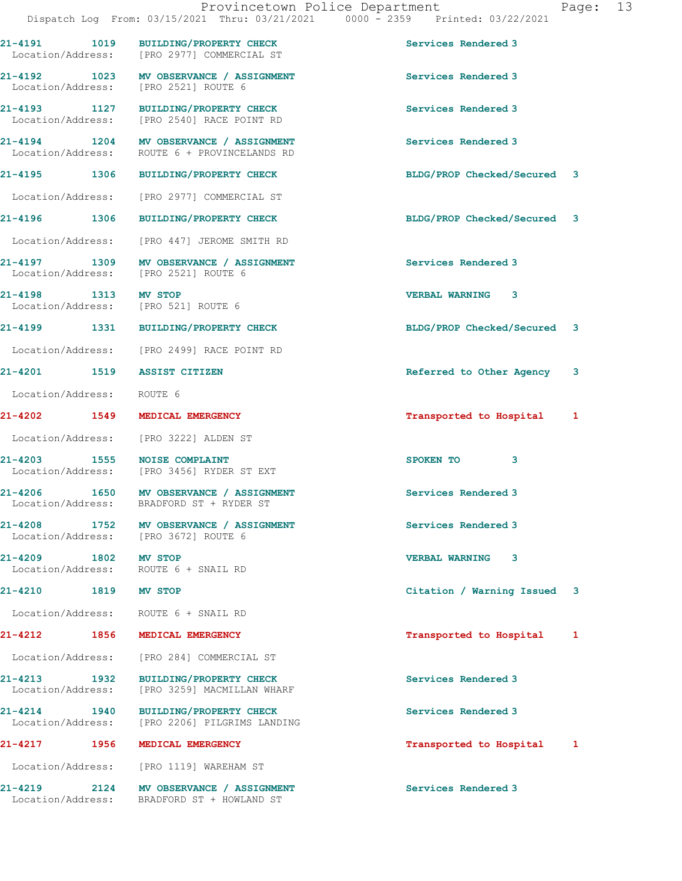| Provincetown Police Department       |      |                                                                                |                             | Page: | 13 |
|--------------------------------------|------|--------------------------------------------------------------------------------|-----------------------------|-------|----|
|                                      |      | Dispatch Log From: 03/15/2021 Thru: 03/21/2021 0000 - 2359 Printed: 03/22/2021 |                             |       |    |
| 1019<br>21-4191                      |      | <b>BUILDING/PROPERTY CHECK</b><br>Location/Address: [PRO 2977] COMMERCIAL ST   | Services Rendered 3         |       |    |
| 1023<br>21-4192<br>Location/Address: |      | MV OBSERVANCE / ASSIGNMENT<br>[PRO 2521] ROUTE 6                               | Services Rendered 3         |       |    |
| 21-4193                              | 1127 | <b>BUILDING/PROPERTY CHECK</b><br>Location/Address: [PRO 2540] RACE POINT RD   | Services Rendered 3         |       |    |
| 21-4194<br>Location/Address:         | 1204 | MV OBSERVANCE / ASSIGNMENT<br>ROUTE 6 + PROVINCELANDS RD                       | Services Rendered 3         |       |    |
| 21-4195                              | 1306 | <b>BUILDING/PROPERTY CHECK</b>                                                 | BLDG/PROP Checked/Secured 3 |       |    |

Location/Address: [PRO 2977] COMMERCIAL ST

21-4196 1306 BUILDING/PROPERTY CHECK BLDG/PROP Checked/Secured 3

Location/Address: [PRO 447] JEROME SMITH RD

21-4197 1309 MV OBSERVANCE / ASSIGNMENT Services Rendered 3<br>
Location/Address: [PRO 2521] ROUTE 6 Location/Address:

Location/Address: [PRO 521] ROUTE 6

Location/Address: [PRO 2499] RACE POINT RD

Location/Address: ROUTE 6

Location/Address: [PRO 3222] ALDEN ST

Location/Address: [PRO 3456] RYDER ST EXT

21-4206 1650 MV OBSERVANCE / ASSIGNMENT Services Rendered 3 Location/Address: BRADFORD ST + RYDER ST

21-4208 1752 MV OBSERVANCE / ASSIGNMENT Services Rendered 3 Location/Address: [PRO 3672] ROUTE 6

Location/Address: ROUTE 6 + SNAIL RD

Location/Address: ROUTE 6 + SNAIL RD

Location/Address: [PRO 284] COMMERCIAL ST

21-4213 1932 BUILDING/PROPERTY CHECK Services Rendered 3<br>
Location/Address: [PRO 3259] MACMILLAN WHARF [PRO 3259] MACMILLAN WHARF

21-4214 1940 BUILDING/PROPERTY CHECK Services Rendered 3<br>
Location/Address: [PRO 2206] PILGRIMS LANDING [PRO 2206] PILGRIMS LANDING

Location/Address: [PRO 1119] WAREHAM ST

21-4219 2124 MV OBSERVANCE / ASSIGNMENT Services Rendered 3 Location/Address: BRADFORD ST + HOWLAND ST

21-4198 1313 MV STOP VERBAL WARNING 3

21-4199 1331 BUILDING/PROPERTY CHECK BLDG/PROP Checked/Secured 3

21-4201 1519 ASSIST CITIZEN **1519 Referred** to Other Agency 3

21-4202 1549 MEDICAL EMERGENCY Transported to Hospital 1

21-4203 1555 NOISE COMPLAINT 3

21-4209 1802 MV STOP VERBAL WARNING 3

21-4210 1819 MV STOP Citation / Warning Issued 3

21-4212 1856 MEDICAL EMERGENCY **1856 1899** Transported to Hospital 1

21-4217 1956 MEDICAL EMERGENCY **1956 1999** Transported to Hospital 1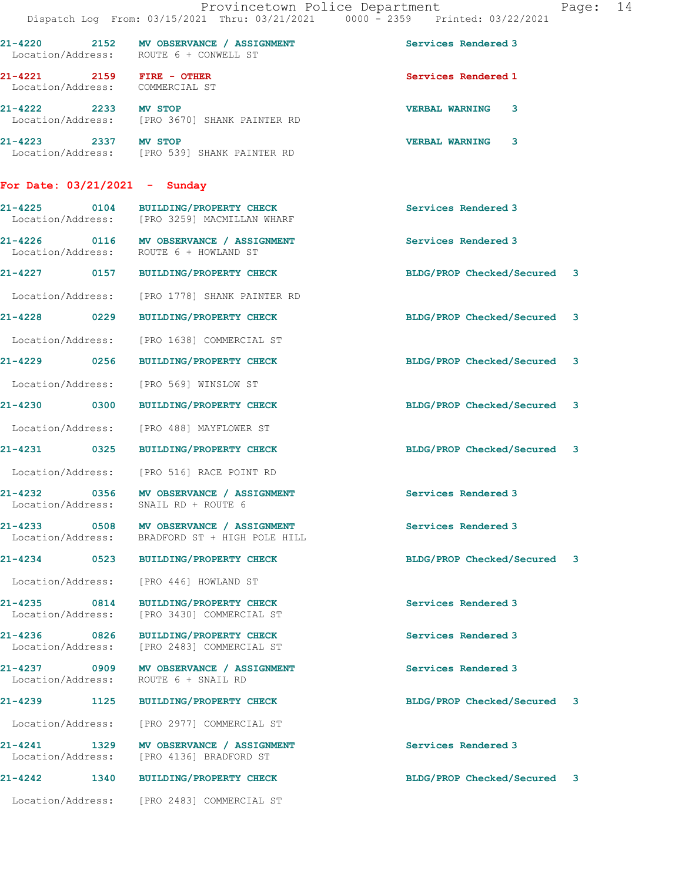|                                   |                     | Provincetown Police Department<br>Dispatch Log From: 03/15/2021 Thru: 03/21/2021 0000 - 2359 Printed: 03/22/2021 |                             | Page: | 14 |
|-----------------------------------|---------------------|------------------------------------------------------------------------------------------------------------------|-----------------------------|-------|----|
|                                   |                     | 21-4220 2152 MV OBSERVANCE / ASSIGNMENT<br>Location/Address: ROUTE 6 + CONWELL ST                                | Services Rendered 3         |       |    |
|                                   |                     | 21-4221 2159 FIRE - OTHER<br>Location/Address: COMMERCIAL ST                                                     | Services Rendered 1         |       |    |
| 21-4222 2233 MV STOP              |                     | Location/Address: [PRO 3670] SHANK PAINTER RD                                                                    | <b>VERBAL WARNING</b><br>3  |       |    |
|                                   |                     | 21-4223 2337 MV STOP<br>Location/Address: [PRO 539] SHANK PAINTER RD                                             | <b>VERBAL WARNING 3</b>     |       |    |
| For Date: $03/21/2021 -$ Sunday   |                     |                                                                                                                  |                             |       |    |
|                                   |                     | 21-4225 0104 BUILDING/PROPERTY CHECK<br>Location/Address: [PRO 3259] MACMILLAN WHARF                             | Services Rendered 3         |       |    |
|                                   |                     | 21-4226 0116 MV OBSERVANCE / ASSIGNMENT<br>Location/Address: ROUTE 6 + HOWLAND ST                                | Services Rendered 3         |       |    |
|                                   |                     | 21-4227 0157 BUILDING/PROPERTY CHECK                                                                             | BLDG/PROP Checked/Secured 3 |       |    |
|                                   |                     | Location/Address: [PRO 1778] SHANK PAINTER RD                                                                    |                             |       |    |
|                                   |                     | 21-4228 0229 BUILDING/PROPERTY CHECK                                                                             | BLDG/PROP Checked/Secured 3 |       |    |
|                                   |                     | Location/Address: [PRO 1638] COMMERCIAL ST                                                                       |                             |       |    |
|                                   |                     | 21-4229 0256 BUILDING/PROPERTY CHECK                                                                             | BLDG/PROP Checked/Secured 3 |       |    |
|                                   |                     | Location/Address: [PRO 569] WINSLOW ST                                                                           |                             |       |    |
|                                   |                     | 21-4230 0300 BUILDING/PROPERTY CHECK                                                                             | BLDG/PROP Checked/Secured 3 |       |    |
|                                   |                     | Location/Address: [PRO 488] MAYFLOWER ST                                                                         |                             |       |    |
|                                   |                     | 21-4231 0325 BUILDING/PROPERTY CHECK                                                                             | BLDG/PROP Checked/Secured 3 |       |    |
|                                   |                     | Location/Address: [PRO 516] RACE POINT RD                                                                        |                             |       |    |
| 21-4232<br>Location/Address:      | $\overline{0}$ 0356 | MV OBSERVANCE / ASSIGNMENT<br>SNAIL RD + ROUTE 6                                                                 | Services Rendered 3         |       |    |
|                                   |                     | Location/Address: BRADFORD ST + HIGH POLE HILL                                                                   | Services Rendered 3         |       |    |
|                                   |                     | 21-4234 0523 BUILDING/PROPERTY CHECK                                                                             | BLDG/PROP Checked/Secured 3 |       |    |
| Location/Address:                 |                     | [PRO 446] HOWLAND ST                                                                                             |                             |       |    |
| 21-4235 0814<br>Location/Address: |                     | <b>BUILDING/PROPERTY CHECK</b><br>[PRO 3430] COMMERCIAL ST                                                       | Services Rendered 3         |       |    |
|                                   |                     | 21-4236 0826 BUILDING/PROPERTY CHECK<br>Location/Address: [PRO 2483] COMMERCIAL ST                               | Services Rendered 3         |       |    |
| Location/Address:                 |                     | 21-4237 0909 MV OBSERVANCE / ASSIGNMENT<br>ROUTE 6 + SNAIL RD                                                    | Services Rendered 3         |       |    |
| 21-4239                           | 1125                | <b>BUILDING/PROPERTY CHECK</b>                                                                                   | BLDG/PROP Checked/Secured 3 |       |    |
|                                   |                     | Location/Address: [PRO 2977] COMMERCIAL ST                                                                       |                             |       |    |
| Location/Address:                 |                     | 21-4241 1329 MV OBSERVANCE / ASSIGNMENT<br>[PRO 4136] BRADFORD ST                                                | Services Rendered 3         |       |    |
| 21-4242                           |                     | 1340 BUILDING/PROPERTY CHECK                                                                                     | BLDG/PROP Checked/Secured 3 |       |    |
|                                   |                     | Location/Address: [PRO 2483] COMMERCIAL ST                                                                       |                             |       |    |